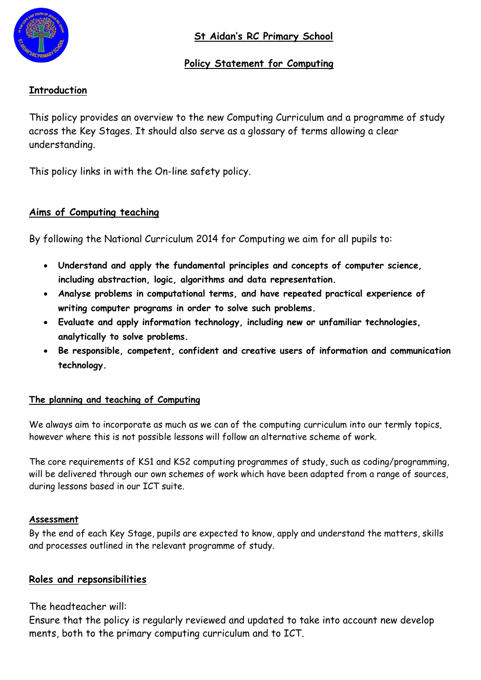

# **Policy Statement for Computing**

# **Introduction**

This policy provides an overview to the new Computing Curriculum and a programme of study across the Key Stages. It should also serve as a glossary of terms allowing a clear understanding.

This policy links in with the On-line safety policy.

# **Aims of Computing teaching**

By following the National Curriculum 2014 for Computing we aim for all pupils to:

- **Understand and apply the fundamental principles and concepts of computer science, including abstraction, logic, algorithms and data representation.**
- **Analyse problems in computational terms, and have repeated practical experience of writing computer programs in order to solve such problems.**
- **Evaluate and apply information technology, including new or unfamiliar technologies, analytically to solve problems.**
- **Be responsible, competent, confident and creative users of information and communication technology.**

### **The planning and teaching of Computing**

We always aim to incorporate as much as we can of the computing curriculum into our termly topics, however where this is not possible lessons will follow an alternative scheme of work.

The core requirements of KS1 and KS2 computing programmes of study, such as coding/programming, will be delivered through our own schemes of work which have been adapted from a range of sources, during lessons based in our ICT suite.

#### **Assessment**

By the end of each Key Stage, pupils are expected to know, apply and understand the matters, skills and processes outlined in the relevant programme of study.

### **Roles and repsonsibilities**

The headteacher will:

Ensure that the policy is regularly reviewed and updated to take into account new develop ments, both to the primary computing curriculum and to ICT.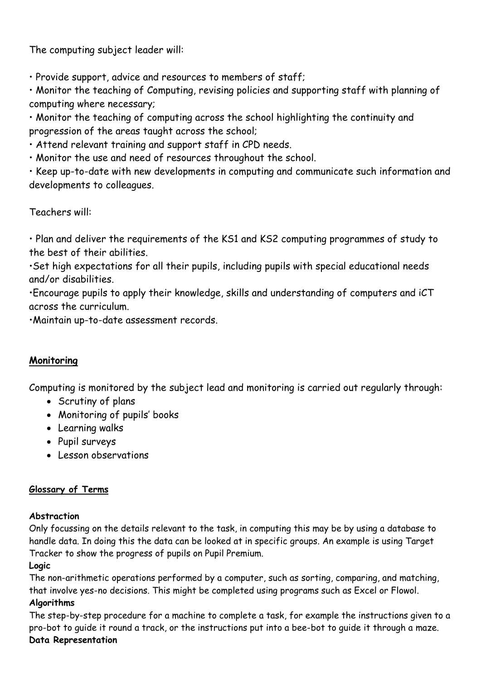The computing subject leader will:

• Provide support, advice and resources to members of staff;

• Monitor the teaching of Computing, revising policies and supporting staff with planning of computing where necessary;

• Monitor the teaching of computing across the school highlighting the continuity and progression of the areas taught across the school;

• Attend relevant training and support staff in CPD needs.

• Monitor the use and need of resources throughout the school.

• Keep up-to-date with new developments in computing and communicate such information and developments to colleagues.

Teachers will:

• Plan and deliver the requirements of the KS1 and KS2 computing programmes of study to the best of their abilities.

•Set high expectations for all their pupils, including pupils with special educational needs and/or disabilities.

•Encourage pupils to apply their knowledge, skills and understanding of computers and iCT across the curriculum.

•Maintain up-to-date assessment records.

### **Monitoring**

Computing is monitored by the subject lead and monitoring is carried out regularly through:

- Scrutiny of plans
- Monitoring of pupils' books
- Learning walks
- Pupil surveys
- Lesson observations

#### **Glossary of Terms**

#### **Abstraction**

Only focussing on the details relevant to the task, in computing this may be by using a database to handle data. In doing this the data can be looked at in specific groups. An example is using Target Tracker to show the progress of pupils on Pupil Premium.

#### **Logic**

The non-arithmetic operations performed by a computer, such as sorting, comparing, and matching, that involve yes-no decisions. This might be completed using programs such as Excel or Flowol.

#### **Algorithms**

The step-by-step procedure for a machine to complete a task, for example the instructions given to a pro-bot to guide it round a track, or the instructions put into a bee-bot to guide it through a maze. **Data Representation**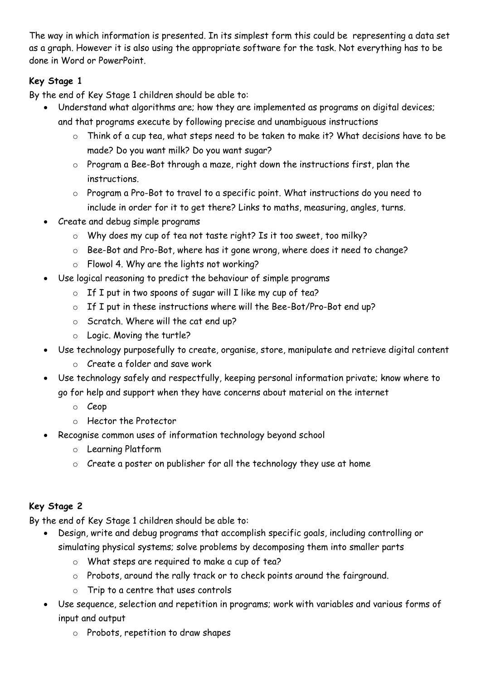The way in which information is presented. In its simplest form this could be representing a data set as a graph. However it is also using the appropriate software for the task. Not everything has to be done in Word or PowerPoint.

# **Key Stage 1**

By the end of Key Stage 1 children should be able to:

- Understand what algorithms are; how they are implemented as programs on digital devices; and that programs execute by following precise and unambiguous instructions
	- o Think of a cup tea, what steps need to be taken to make it? What decisions have to be made? Do you want milk? Do you want sugar?
	- o Program a Bee-Bot through a maze, right down the instructions first, plan the instructions.
	- o Program a Pro-Bot to travel to a specific point. What instructions do you need to include in order for it to get there? Links to maths, measuring, angles, turns.
- Create and debug simple programs
	- o Why does my cup of tea not taste right? Is it too sweet, too milky?
	- o Bee-Bot and Pro-Bot, where has it gone wrong, where does it need to change?
	- o Flowol 4. Why are the lights not working?
- Use logical reasoning to predict the behaviour of simple programs
	- $\circ$  If I put in two spoons of sugar will I like my cup of tea?
	- o If I put in these instructions where will the Bee-Bot/Pro-Bot end up?
	- o Scratch. Where will the cat end up?
	- o Logic. Moving the turtle?
- Use technology purposefully to create, organise, store, manipulate and retrieve digital content
	- o Create a folder and save work
- Use technology safely and respectfully, keeping personal information private; know where to go for help and support when they have concerns about material on the internet
	- o Ceop
	- o Hector the Protector
- Recognise common uses of information technology beyond school
	- o Learning Platform
	- o Create a poster on publisher for all the technology they use at home

#### **Key Stage 2**

By the end of Key Stage 1 children should be able to:

- Design, write and debug programs that accomplish specific goals, including controlling or simulating physical systems; solve problems by decomposing them into smaller parts
	- o What steps are required to make a cup of tea?
	- o Probots, around the rally track or to check points around the fairground.
	- o Trip to a centre that uses controls
- Use sequence, selection and repetition in programs; work with variables and various forms of input and output
	- o Probots, repetition to draw shapes